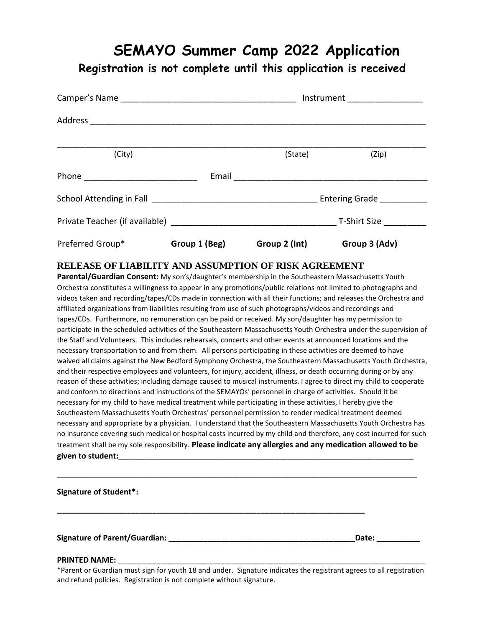# **SEMAYO Summer Camp 2022 Application**

**Registration is not complete until this application is received**

|                  |               | Instrument _________________ |                          |
|------------------|---------------|------------------------------|--------------------------|
|                  |               |                              |                          |
| (City)           |               | (State)                      | (Zip)                    |
|                  |               |                              |                          |
|                  |               |                              | Entering Grade _________ |
|                  |               |                              |                          |
| Preferred Group* | Group 1 (Beg) | Group 2 (Int)                | Group 3 (Adv)            |

### **RELEASE OF LIABILITY AND ASSUMPTION OF RISK AGREEMENT**

**Parental/Guardian Consent:** My son's/daughter's membership in the Southeastern Massachusetts Youth Orchestra constitutes a willingness to appear in any promotions/public relations not limited to photographs and videos taken and recording/tapes/CDs made in connection with all their functions; and releases the Orchestra and affiliated organizations from liabilities resulting from use of such photographs/videos and recordings and tapes/CDs. Furthermore, no remuneration can be paid or received. My son/daughter has my permission to participate in the scheduled activities of the Southeastern Massachusetts Youth Orchestra under the supervision of the Staff and Volunteers. This includes rehearsals, concerts and other events at announced locations and the necessary transportation to and from them. All persons participating in these activities are deemed to have waived all claims against the New Bedford Symphony Orchestra, the Southeastern Massachusetts Youth Orchestra, and their respective employees and volunteers, for injury, accident, illness, or death occurring during or by any reason of these activities; including damage caused to musical instruments. I agree to direct my child to cooperate and conform to directions and instructions of the SEMAYOs' personnel in charge of activities. Should it be necessary for my child to have medical treatment while participating in these activities, I hereby give the Southeastern Massachusetts Youth Orchestras' personnel permission to render medical treatment deemed necessary and appropriate by a physician. I understand that the Southeastern Massachusetts Youth Orchestra has no insurance covering such medical or hospital costs incurred by my child and therefore, any cost incurred for such treatment shall be my sole responsibility. **Please indicate any allergies and any medication allowed to be**  given to student:

**Signature of Student\*:** 

**Signature of Parent/Guardian: \_\_\_\_\_\_\_\_\_\_\_\_\_\_\_\_\_\_\_\_\_\_\_\_\_\_\_\_\_\_\_\_\_\_\_\_\_\_\_\_\_\_\_Date: \_\_\_\_\_\_\_\_\_\_**

#### **PRINTED NAME:** \_\_\_\_\_\_\_\_\_\_\_\_\_\_\_\_\_\_\_\_\_\_\_\_\_\_\_\_\_\_\_\_\_\_\_\_\_\_\_\_\_\_\_\_\_\_\_\_\_\_\_\_\_\_\_\_\_\_\_\_\_\_\_\_\_

\*Parent or Guardian must sign for youth 18 and under. Signature indicates the registrant agrees to all registration and refund policies. Registration is not complete without signature.

\_\_\_\_\_\_\_\_\_\_\_\_\_\_\_\_\_\_\_\_\_\_\_\_\_\_\_\_\_\_\_\_\_\_\_\_\_\_\_\_\_\_\_\_\_\_\_\_\_\_\_\_\_\_\_\_\_\_\_\_\_\_\_\_\_\_\_\_\_\_\_\_\_\_\_\_\_\_\_\_\_\_\_

**\_\_\_\_\_\_\_\_\_\_\_\_\_\_\_\_\_\_\_\_\_\_\_\_\_\_\_\_\_\_\_\_\_\_\_\_\_\_\_\_\_\_\_\_\_\_\_\_\_\_\_\_\_\_\_\_\_\_\_\_\_\_\_\_\_\_\_\_\_\_\_**